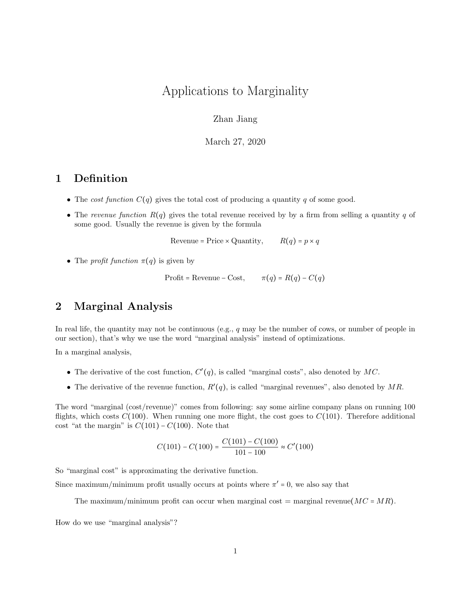# Applications to Marginality

## Zhan Jiang

March 27, 2020

# 1 Definition

- The cost function  $C(q)$  gives the total cost of producing a quantity q of some good.
- The revenue function  $R(q)$  gives the total revenue received by by a firm from selling a quantity q of some good. Usually the revenue is given by the formula

Revenue = Price × Quantity,  $R(q) = p \times q$ 

• The *profit function*  $\pi(q)$  is given by

Profit = Revenue – Cost,  $\pi(q) = R(q) - C(q)$ 

# 2 Marginal Analysis

In real life, the quantity may not be continuous (e.g., q may be the number of cows, or number of people in our section), that's why we use the word "marginal analysis" instead of optimizations.

In a marginal analysis,

- The derivative of the cost function,  $C'(q)$ , is called "marginal costs", also denoted by MC.
- The derivative of the revenue function,  $R'(q)$ , is called "marginal revenues", also denoted by MR.

The word "marginal (cost/revenue)" comes from following: say some airline company plans on running 100 flights, which costs  $C(100)$ . When running one more flight, the cost goes to  $C(101)$ . Therefore additional cost "at the margin" is  $C(101) - C(100)$ . Note that

$$
C(101) - C(100) = \frac{C(101) - C(100)}{101 - 100} \approx C'(100)
$$

So "marginal cost" is approximating the derivative function.

Since maximum/minimum profit usually occurs at points where  $\pi' = 0$ , we also say that

The maximum/minimum profit can occur when marginal cost = marginal revenue  $(MC = MR)$ .

How do we use "marginal analysis"?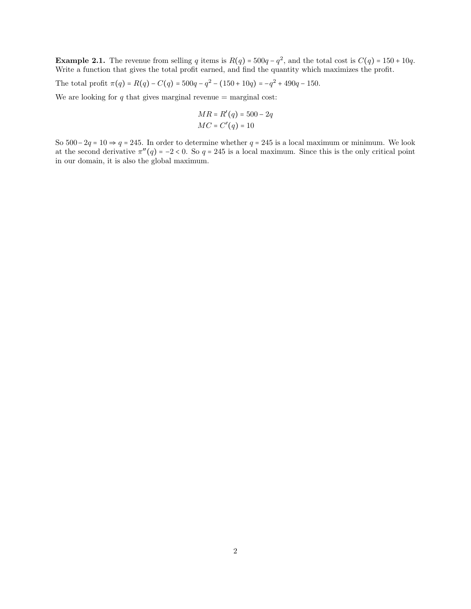**Example 2.1.** The revenue from selling q items is  $R(q) = 500q - q^2$ , and the total cost is  $C(q) = 150 + 10q$ . Write a function that gives the total profit earned, and find the quantity which maximizes the profit.

The total profit  $\pi(q) = R(q) - C(q) = 500q - q^2 - (150 + 10q) = -q^2 + 490q - 150$ .

We are looking for  $q$  that gives marginal revenue = marginal cost:

$$
MR = R'(q) = 500 - 2q
$$
  

$$
MC = C'(q) = 10
$$

So  $500-2q = 10 \Rightarrow q = 245$ . In order to determine whether  $q = 245$  is a local maximum or minimum. We look at the second derivative  $\pi''(q) = -2 < 0$ . So  $q = 245$  is a local maximum. Since this is the only critical point in our domain, it is also the global maximum.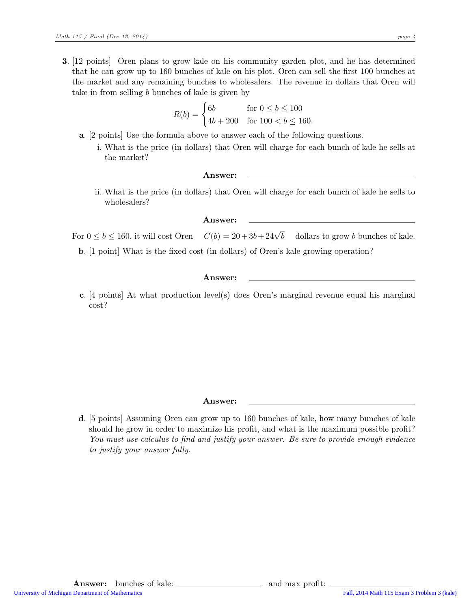3. [12 points] Oren plans to grow kale on his community garden plot, and he has determined that he can grow up to 160 bunches of kale on his plot. Oren can sell the first 100 bunches at the market and any remaining bunches to wholesalers. The revenue in dollars that Oren will take in from selling  $b$  bunches of kale is given by

$$
R(b) = \begin{cases} 6b & \text{for } 0 \le b \le 100 \\ 4b + 200 & \text{for } 100 < b \le 160. \end{cases}
$$

- a. [2 points] Use the formula above to answer each of the following questions.
	- i. What is the price (in dollars) that Oren will charge for each bunch of kale he sells at the market?

#### Answer:

ii. What is the price (in dollars) that Oren will charge for each bunch of kale he sells to wholesalers?

### Answer:

For  $0 \leq b \leq 160$ , it will cost Oren  $C(b) = 20 + 3b + 24\sqrt{b}$  dollars to grow b bunches of kale.

b. [1 point] What is the fixed cost (in dollars) of Oren's kale growing operation?

#### Answer:

c. [4 points] At what production level(s) does Oren's marginal revenue equal his marginal cost?

#### Answer:

d. [5 points] Assuming Oren can grow up to 160 bunches of kale, how many bunches of kale should he grow in order to maximize his profit, and what is the maximum possible profit? You must use calculus to find and justify your answer. Be sure to provide enough evidence to justify your answer fully.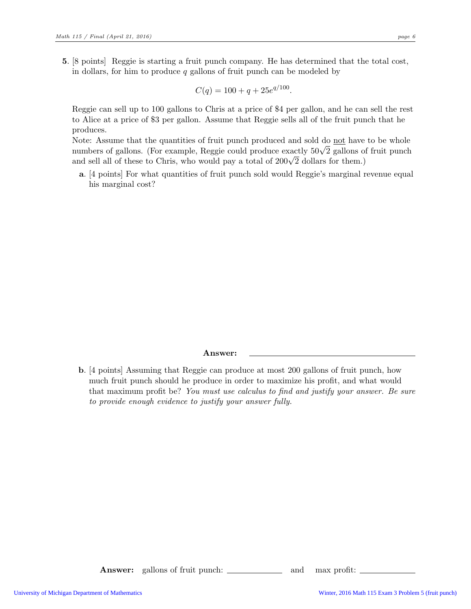5. [8 points] Reggie is starting a fruit punch company. He has determined that the total cost, in dollars, for him to produce  $q$  gallons of fruit punch can be modeled by

$$
C(q) = 100 + q + 25e^{q/100}.
$$

Reggie can sell up to 100 gallons to Chris at a price of \$4 per gallon, and he can sell the rest to Alice at a price of \$3 per gallon. Assume that Reggie sells all of the fruit punch that he produces.

Note: Assume that the quantities of fruit punch produced and sold do not have to be whole numbers of gallons. (For example, Reggie could produce exactly  $50\sqrt{2}$  gallons of fruit punch and sell all of these to Chris, who would pay a total of  $200\sqrt{2}$  dollars for them.)

a. [4 points] For what quantities of fruit punch sold would Reggie's marginal revenue equal his marginal cost?

#### Answer:

b. [4 points] Assuming that Reggie can produce at most 200 gallons of fruit punch, how much fruit punch should he produce in order to maximize his profit, and what would that maximum profit be? You must use calculus to find and justify your answer. Be sure to provide enough evidence to justify your answer fully.

**Answer:** gallons of fruit punch: \_\_\_\_\_\_\_\_\_\_\_\_ and max profit: \_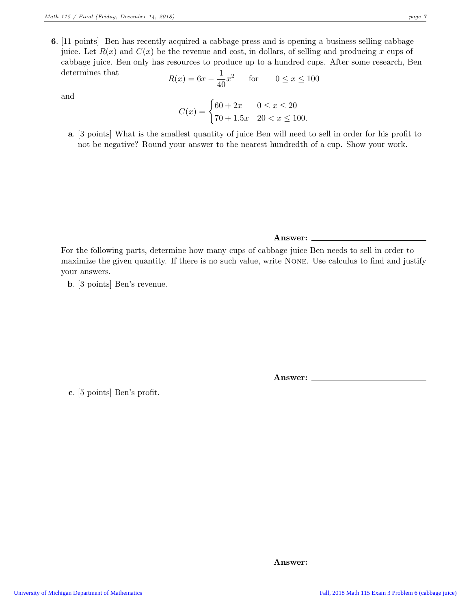6. [11 points] Ben has recently acquired a cabbage press and is opening a business selling cabbage juice. Let  $R(x)$  and  $C(x)$  be the revenue and cost, in dollars, of selling and producing x cups of cabbage juice. Ben only has resources to produce up to a hundred cups. After some research, Ben determines that

$$
R(x) = 6x - \frac{1}{40}x^2
$$
 for  $0 \le x \le 100$ 

and

$$
C(x) = \begin{cases} 60 + 2x & 0 \le x \le 20 \\ 70 + 1.5x & 20 < x \le 100. \end{cases}
$$

a. [3 points] What is the smallest quantity of juice Ben will need to sell in order for his profit to not be negative? Round your answer to the nearest hundredth of a cup. Show your work.

For the following parts, determine how many cups of cabbage juice Ben needs to sell in order to maximize the given quantity. If there is no such value, write None. Use calculus to find and justify your answers.

Answer:

b. [3 points] Ben's revenue.

Answer:

c. [5 points] Ben's profit.

Answer: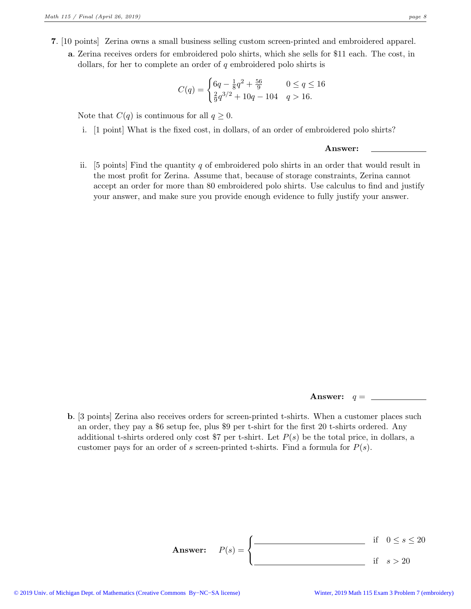- 7. [10 points] Zerina owns a small business selling custom screen-printed and embroidered apparel.
	- a. Zerina receives orders for embroidered polo shirts, which she sells for \$11 each. The cost, in dollars, for her to complete an order of  $q$  embroidered polo shirts is

$$
C(q) = \begin{cases} 6q - \frac{1}{8}q^2 + \frac{56}{9} & 0 \le q \le 16\\ \frac{2}{9}q^{3/2} + 10q - 104 & q > 16. \end{cases}
$$

Note that  $C(q)$  is continuous for all  $q \geq 0$ .

i. [1 point] What is the fixed cost, in dollars, of an order of embroidered polo shirts?

#### Answer:

ii. [5 points] Find the quantity q of embroidered polo shirts in an order that would result in the most profit for Zerina. Assume that, because of storage constraints, Zerina cannot accept an order for more than 80 embroidered polo shirts. Use calculus to find and justify your answer, and make sure you provide enough evidence to fully justify your answer.

Answer:  $q =$ 

b. [3 points] Zerina also receives orders for screen-printed t-shirts. When a customer places such an order, they pay a \$6 setup fee, plus \$9 per t-shirt for the first 20 t-shirts ordered. Any additional t-shirts ordered only cost \$7 per t-shirt. Let  $P(s)$  be the total price, in dollars, a customer pays for an order of s screen-printed t-shirts. Find a formula for  $P(s)$ .

Answer: 
$$
P(s) = \begin{cases} \frac{\text{if } 0 \le s \le 20}{\text{if } s > 20} \end{cases}
$$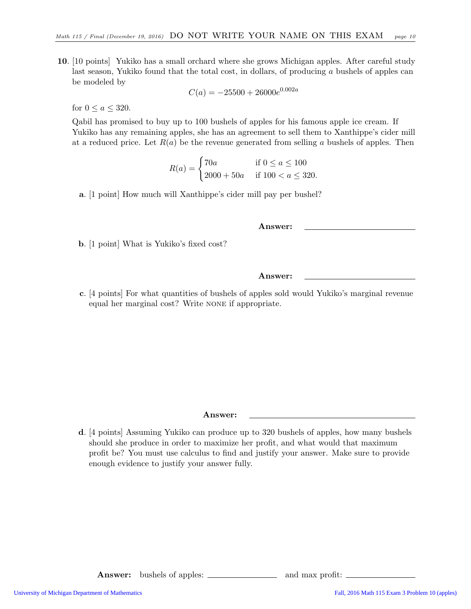10. [10 points] Yukiko has a small orchard where she grows Michigan apples. After careful study last season, Yukiko found that the total cost, in dollars, of producing a bushels of apples can be modeled by

$$
C(a) = -25500 + 26000e^{0.002a}
$$

for  $0 \leq a \leq 320$ .

Qabil has promised to buy up to 100 bushels of apples for his famous apple ice cream. If Yukiko has any remaining apples, she has an agreement to sell them to Xanthippe's cider mill at a reduced price. Let  $R(a)$  be the revenue generated from selling a bushels of apples. Then

$$
R(a) = \begin{cases} 70a & \text{if } 0 \le a \le 100 \\ 2000 + 50a & \text{if } 100 < a \le 320. \end{cases}
$$

a. [1 point] How much will Xanthippe's cider mill pay per bushel?

Answer:

b. [1 point] What is Yukiko's fixed cost?

Answer:

c. [4 points] For what quantities of bushels of apples sold would Yukiko's marginal revenue equal her marginal cost? Write none if appropriate.

Answer:

d. [4 points] Assuming Yukiko can produce up to 320 bushels of apples, how many bushels should she produce in order to maximize her profit, and what would that maximum profit be? You must use calculus to find and justify your answer. Make sure to provide enough evidence to justify your answer fully.

Answer: bushels of apples: \_\_\_\_\_\_\_\_\_\_\_\_\_\_\_ and max profit: \_